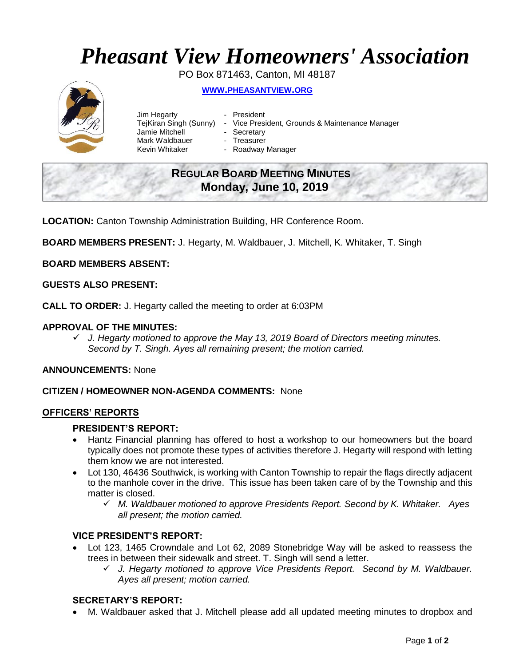# *Pheasant View Homeowners' Association*

PO Box 871463, Canton, MI 48187

# **WWW.[PHEASANTVIEW](http://www.pheasantview.org/).ORG**



- Jim Hegarty  **President** Jamie Mitchell - Secretary Mark Waldbauer **- Treasurer**<br>Kevin Whitaker **- Roadway** 
	-
- TejKiran Singh (Sunny) Vice President, Grounds & Maintenance Manager
	-
	- - Roadway Manager

# **REGULAR BOARD MEETING MINUTES Monday, June 10, 2019**

**LOCATION:** Canton Township Administration Building, HR Conference Room.

**BOARD MEMBERS PRESENT:** J. Hegarty, M. Waldbauer, J. Mitchell, K. Whitaker, T. Singh

**BOARD MEMBERS ABSENT:**

# **GUESTS ALSO PRESENT:**

**CALL TO ORDER:** J. Hegarty called the meeting to order at 6:03PM

# **APPROVAL OF THE MINUTES:**

✓ *J. Hegarty motioned to approve the May 13, 2019 Board of Directors meeting minutes. Second by T. Singh. Ayes all remaining present; the motion carried.*

**ANNOUNCEMENTS:** None

### **CITIZEN / HOMEOWNER NON-AGENDA COMMENTS:** None

### **OFFICERS' REPORTS**

### **PRESIDENT'S REPORT:**

- Hantz Financial planning has offered to host a workshop to our homeowners but the board typically does not promote these types of activities therefore J. Hegarty will respond with letting them know we are not interested.
- Lot 130, 46436 Southwick, is working with Canton Township to repair the flags directly adjacent to the manhole cover in the drive. This issue has been taken care of by the Township and this matter is closed.
	- ✓ *M. Waldbauer motioned to approve Presidents Report. Second by K. Whitaker. Ayes all present; the motion carried.*

### **VICE PRESIDENT'S REPORT:**

- Lot 123, 1465 Crowndale and Lot 62, 2089 Stonebridge Way will be asked to reassess the trees in between their sidewalk and street. T. Singh will send a letter.
	- ✓ *J. Hegarty motioned to approve Vice Presidents Report. Second by M. Waldbauer. Ayes all present; motion carried.*

# **SECRETARY'S REPORT:**

• M. Waldbauer asked that J. Mitchell please add all updated meeting minutes to dropbox and